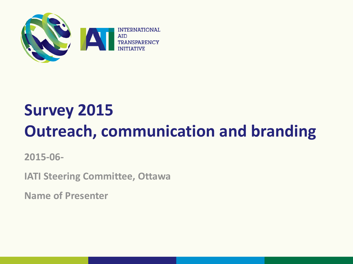

# **Survey 2015 Outreach, communication and branding**

**2015-06-**

**IATI Steering Committee, Ottawa**

**Name of Presenter**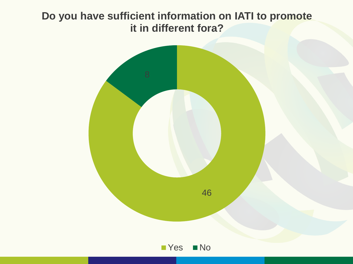#### **Do you have sufficient information on IATI to promote it in different fora?**

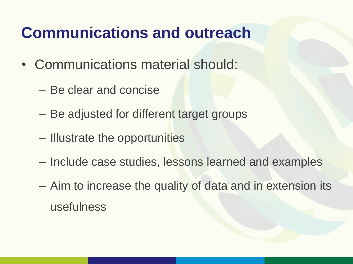## **Communications and outreach**

- Communications material should:
	- Be clear and concise
	- Be adjusted for different target groups
	- Illustrate the opportunities
	- Include case studies, lessons learned and examples
	- Aim to increase the quality of data and in extension its usefulness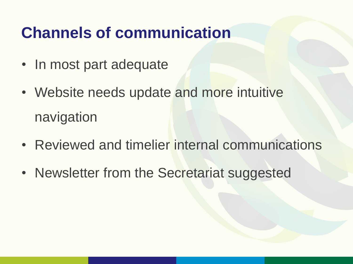## **Channels of communication**

- In most part adequate
- Website needs update and more intuitive navigation
- Reviewed and timelier internal communications
- Newsletter from the Secretariat suggested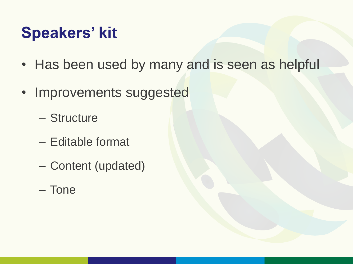## **Speakers' kit**

- Has been used by many and is seen as helpful
- Improvements suggested
	- Structure
	- Editable format
	- Content (updated)
	- Tone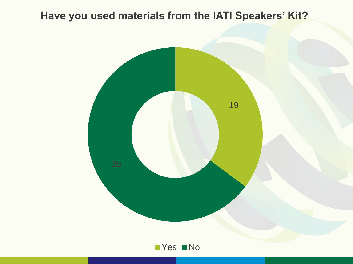#### **Have you used materials from the IATI Speakers' Kit?**



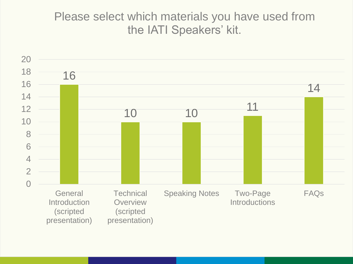#### Please select which materials you have used from the IATI Speakers' kit.

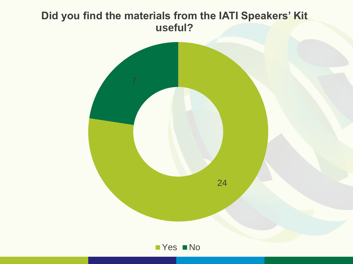#### **Did you find the materials from the IATI Speakers' Kit useful?**